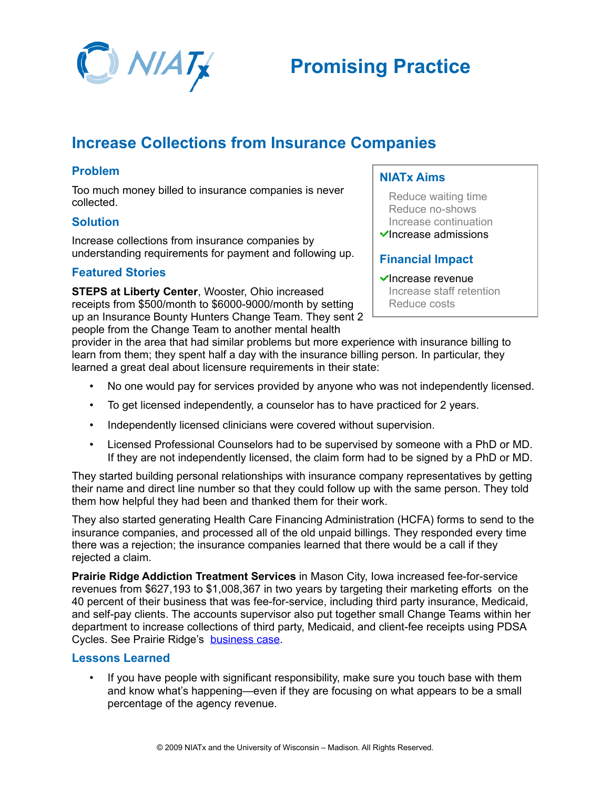

# **Promising Practice**

# **Increase Collections from Insurance Companies**

# **Problem**

Too much money billed to insurance companies is never collected.

#### **Solution**

Increase collections from insurance companies by understanding requirements for payment and following up.

## **Featured Stories**

**STEPS at Liberty Center**, Wooster, Ohio increased receipts from \$500/month to \$6000-9000/month by setting up an Insurance Bounty Hunters Change Team. They sent 2 people from the Change Team to another mental health

## **NIATx Aims**

Reduce waiting time Reduce no-shows Increase continuation  $\checkmark$ Increase admissions

# **Financial Impact**

#### $\checkmark$ Increase revenue Increase staff retention Reduce costs

provider in the area that had similar problems but more experience with insurance billing to learn from them; they spent half a day with the insurance billing person. In particular, they learned a great deal about licensure requirements in their state:

- No one would pay for services provided by anyone who was not independently licensed.
- To get licensed independently, a counselor has to have practiced for 2 years.
- Independently licensed clinicians were covered without supervision.
- Licensed Professional Counselors had to be supervised by someone with a PhD or MD. If they are not independently licensed, the claim form had to be signed by a PhD or MD.

They started building personal relationships with insurance company representatives by getting their name and direct line number so that they could follow up with the same person. They told them how helpful they had been and thanked them for their work.

They also started generating Health Care Financing Administration (HCFA) forms to send to the insurance companies, and processed all of the old unpaid billings. They responded every time there was a rejection; the insurance companies learned that there would be a call if they rejected a claim.

**Prairie Ridge Addiction Treatment Services** in Mason City, Iowa increased fee-for-service revenues from \$627,193 to \$1,008,367 in two years by targeting their marketing efforts on the 40 percent of their business that was fee-for-service, including third party insurance, Medicaid, and self-pay clients. The accounts supervisor also put together small Change Teams within her department to increase collections of third party, Medicaid, and client-fee receipts using PDSA Cycles. See Prairie Ridge's [business case.](http://www.niatx.net/Content/ContentPage.aspx?NID=171)

# **Lessons Learned**

If you have people with significant responsibility, make sure you touch base with them and know what's happening—even if they are focusing on what appears to be a small percentage of the agency revenue.